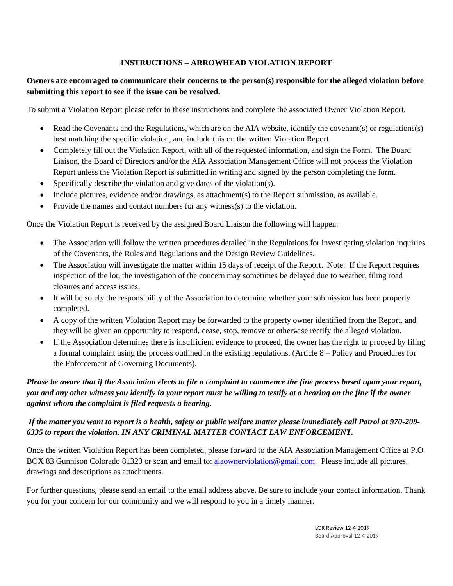#### **INSTRUCTIONS – ARROWHEAD VIOLATION REPORT**

#### **Owners are encouraged to communicate their concerns to the person(s) responsible for the alleged violation before submitting this report to see if the issue can be resolved.**

To submit a Violation Report please refer to these instructions and complete the associated Owner Violation Report.

- Read the Covenants and the Regulations, which are on the AIA website, identify the covenant(s) or regulations(s) best matching the specific violation, and include this on the written Violation Report.
- Completely fill out the Violation Report, with all of the requested information, and sign the Form. The Board Liaison, the Board of Directors and/or the AIA Association Management Office will not process the Violation Report unless the Violation Report is submitted in writing and signed by the person completing the form.
- Specifically describe the violation and give dates of the violation(s).
- Include pictures, evidence and/or drawings, as attachment(s) to the Report submission, as available.
- Provide the names and contact numbers for any witness(s) to the violation.

Once the Violation Report is received by the assigned Board Liaison the following will happen:

- The Association will follow the written procedures detailed in the Regulations for investigating violation inquiries of the Covenants, the Rules and Regulations and the Design Review Guidelines.
- The Association will investigate the matter within 15 days of receipt of the Report. Note: If the Report requires inspection of the lot, the investigation of the concern may sometimes be delayed due to weather, filing road closures and access issues.
- It will be solely the responsibility of the Association to determine whether your submission has been properly completed.
- A copy of the written Violation Report may be forwarded to the property owner identified from the Report, and they will be given an opportunity to respond, cease, stop, remove or otherwise rectify the alleged violation.
- If the Association determines there is insufficient evidence to proceed, the owner has the right to proceed by filing a formal complaint using the process outlined in the existing regulations. (Article 8 – Policy and Procedures for the Enforcement of Governing Documents).

### *Please be aware that if the Association elects to file a complaint to commence the fine process based upon your report, you and any other witness you identify in your report must be willing to testify at a hearing on the fine if the owner against whom the complaint is filed requests a hearing.*

#### *If the matter you want to report is a health, safety or public welfare matter please immediately call Patrol at 970-209- 6335 to report the violation. IN ANY CRIMINAL MATTER CONTACT LAW ENFORCEMENT.*

Once the written Violation Report has been completed, please forward to the AIA Association Management Office at P.O. BOX 83 Gunnison Colorado 81320 or scan and email to: aiaownerviolation@gmail.com. Please include all pictures, drawings and descriptions as attachments.

For further questions, please send an email to the email address above. Be sure to include your contact information. Thank you for your concern for our community and we will respond to you in a timely manner.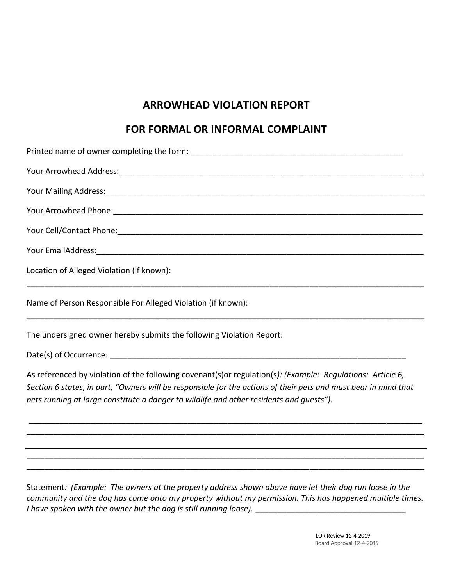# **ARROWHEAD VIOLATION REPORT**

## **FOR FORMAL OR INFORMAL COMPLAINT**

| Your Mailing Address: 1990 March 2014 March 2014 March 2014 March 2014 March 2014 March 2014 March 2014 March 2014 March 2014 March 2014 March 2014 March 2014 March 2014 March 2014 March 2014 March 2014 March 2014 March 20                                                                                           |
|--------------------------------------------------------------------------------------------------------------------------------------------------------------------------------------------------------------------------------------------------------------------------------------------------------------------------|
|                                                                                                                                                                                                                                                                                                                          |
|                                                                                                                                                                                                                                                                                                                          |
|                                                                                                                                                                                                                                                                                                                          |
| Location of Alleged Violation (if known):                                                                                                                                                                                                                                                                                |
| Name of Person Responsible For Alleged Violation (if known):                                                                                                                                                                                                                                                             |
| The undersigned owner hereby submits the following Violation Report:                                                                                                                                                                                                                                                     |
|                                                                                                                                                                                                                                                                                                                          |
| As referenced by violation of the following covenant(s)or regulation(s): (Example: Regulations: Article 6,<br>Section 6 states, in part, "Owners will be responsible for the actions of their pets and must bear in mind that<br>pets running at large constitute a danger to wildlife and other residents and quests"). |
|                                                                                                                                                                                                                                                                                                                          |
|                                                                                                                                                                                                                                                                                                                          |
| Statement: (Example: The owners at the property address shown above have let their dog run loose in the<br>community and the dog has come onto my property without my permission. This has happened multiple times.                                                                                                      |

*I have spoken with the owner but the dog is still running loose).* \_\_\_\_\_\_\_\_\_\_\_\_\_\_\_\_\_\_\_\_\_\_\_\_\_\_\_\_\_\_\_\_\_\_

LOR Review 12-4-2019 Board Approval 12-4-2019